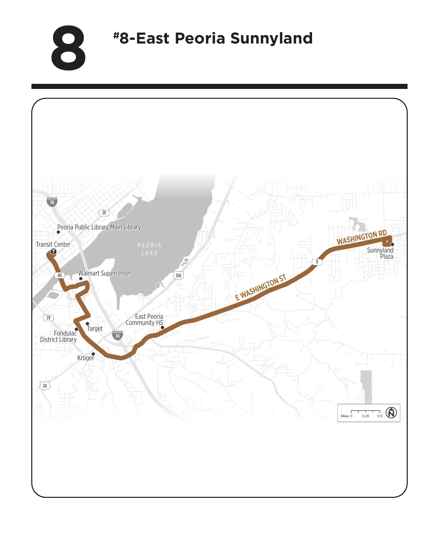**8 #8-East Peoria Sunnyland**